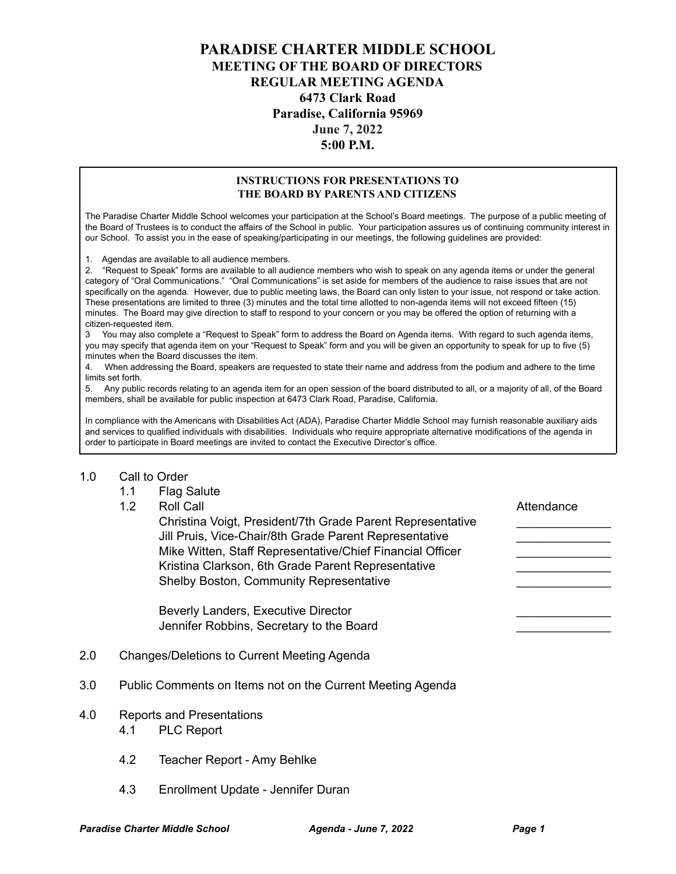# **PARADISE CHARTER MIDDLE SCHOOL MEETING OF THE BOARD OF DIRECTORS REGULAR MEETING AGENDA 6473 Clark Road Paradise, California 95969 June 7, 2022 5:00 P.M.**

#### **INSTRUCTIONS FOR PRESENTATIONS TO THE BOARD BY PARENTS AND CITIZENS**

The Paradise Charter Middle School welcomes your participation at the School's Board meetings. The purpose of a public meeting of the Board of Trustees is to conduct the affairs of the School in public. Your participation assures us of continuing community interest in our School. To assist you in the ease of speaking/participating in our meetings, the following guidelines are provided:

1. Agendas are available to all audience members.

2. "Request to Speak" forms are available to all audience members who wish to speak on any agenda items or under the general category of "Oral Communications." "Oral Communications" is set aside for members of the audience to raise issues that are not specifically on the agenda. However, due to public meeting laws, the Board can only listen to your issue, not respond or take action. These presentations are limited to three (3) minutes and the total time allotted to non-agenda items will not exceed fifteen (15) minutes. The Board may give direction to staff to respond to your concern or you may be offered the option of returning with a citizen-requested item.

3 You may also complete a "Request to Speak" form to address the Board on Agenda items. With regard to such agenda items, you may specify that agenda item on your "Request to Speak" form and you will be given an opportunity to speak for up to five (5) minutes when the Board discusses the item.

4. When addressing the Board, speakers are requested to state their name and address from the podium and adhere to the time limits set forth.

5. Any public records relating to an agenda item for an open session of the board distributed to all, or a majority of all, of the Board members, shall be available for public inspection at 6473 Clark Road, Paradise, California.

In compliance with the Americans with Disabilities Act (ADA), Paradise Charter Middle School may furnish reasonable auxiliary aids and services to qualified individuals with disabilities. Individuals who require appropriate alternative modifications of the agenda in order to participate in Board meetings are invited to contact the Executive Director's office.

### 1.0 Call to Order

- 1.1 Flag Salute
- 

1.2 Roll Call **Call Attendance** Christina Voigt, President/7th Grade Parent Representative \_\_\_\_\_\_\_\_\_\_\_\_\_\_ Jill Pruis, Vice-Chair/8th Grade Parent Representative Mike Witten, Staff Representative/Chief Financial Officer Kristina Clarkson, 6th Grade Parent Representative Shelby Boston, Community Representative

Beverly Landers, Executive Director Jennifer Robbins, Secretary to the Board

- 2.0 Changes/Deletions to Current Meeting Agenda
- 3.0 Public Comments on Items not on the Current Meeting Agenda
- 4.0 Reports and Presentations
	- 4.1 PLC Report
	- 4.2 Teacher Report Amy Behlke
	- 4.3 Enrollment Update Jennifer Duran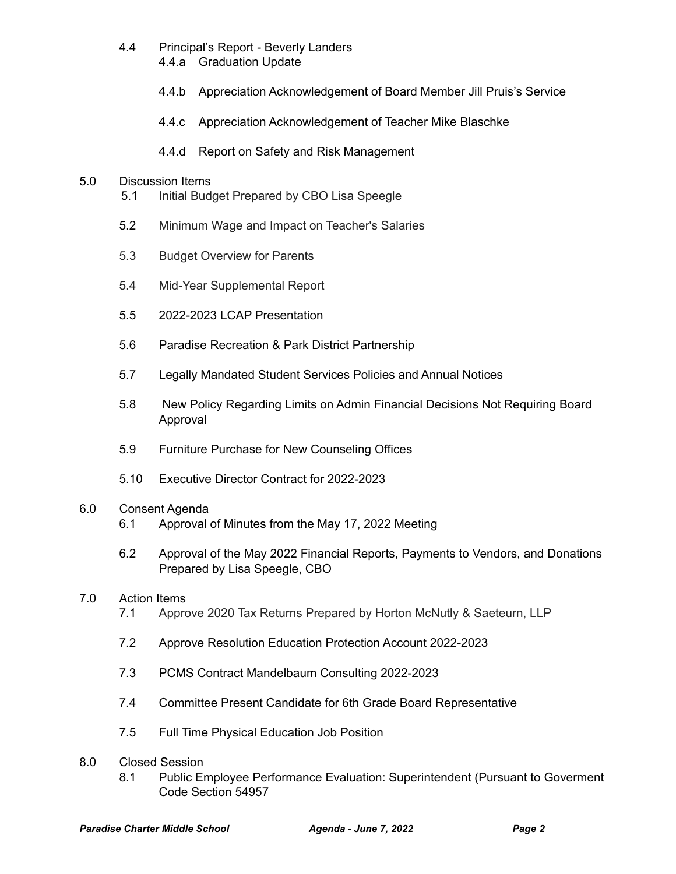- 4.4 Principal's Report Beverly Landers
	- 4.4.a Graduation Update
	- 4.4.b Appreciation Acknowledgement of Board Member Jill Pruis's Service
	- 4.4.c Appreciation Acknowledgement of Teacher Mike Blaschke
	- 4.4.d Report on Safety and Risk Management

### 5.0 Discussion Items

- 5.1 Initial Budget Prepared by CBO Lisa Speegle
- 5.2 Minimum Wage and Impact on Teacher's Salaries
- 5.3 Budget Overview for Parents
- 5.4 Mid-Year Supplemental Report
- 5.5 2022-2023 LCAP Presentation
- 5.6 Paradise Recreation & Park District Partnership
- 5.7 Legally Mandated Student Services Policies and Annual Notices
- 5.8 New Policy Regarding Limits on Admin Financial Decisions Not Requiring Board Approval
- 5.9 Furniture Purchase for New Counseling Offices
- 5.10 Executive Director Contract for 2022-2023

# 6.0 Consent Agenda

- 6.1 Approval of Minutes from the May 17, 2022 Meeting
- 6.2 Approval of the May 2022 Financial Reports, Payments to Vendors, and Donations Prepared by Lisa Speegle, CBO

# 7.0 Action Items

- 7.1 Approve 2020 Tax Returns Prepared by Horton McNutly & Saeteurn, LLP
- 7.2 Approve Resolution Education Protection Account 2022-2023
- 7.3 PCMS Contract Mandelbaum Consulting 2022-2023
- 7.4 Committee Present Candidate for 6th Grade Board Representative
- 7.5 Full Time Physical Education Job Position
- 8.0 Closed Session
	- 8.1 Public Employee Performance Evaluation: Superintendent (Pursuant to Goverment Code Section 54957